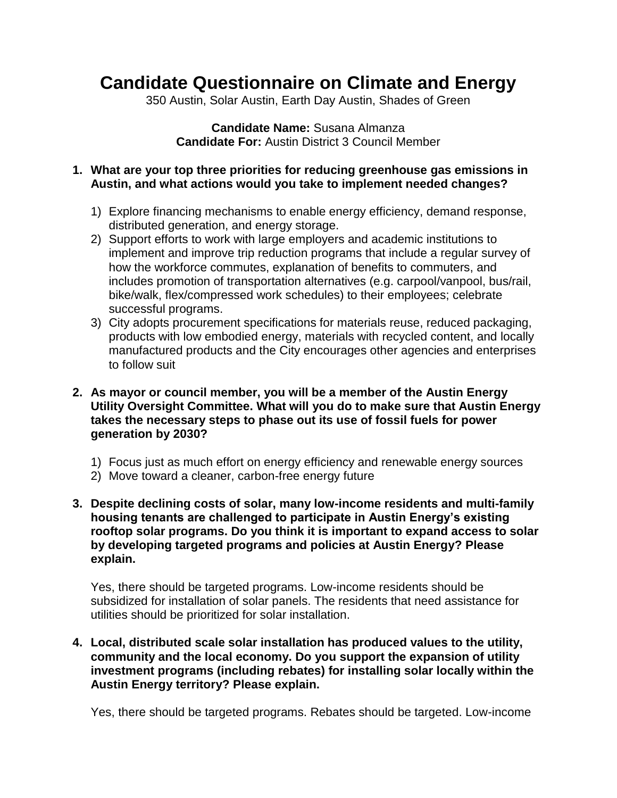## **Candidate Questionnaire on Climate and Energy**

350 Austin, Solar Austin, Earth Day Austin, Shades of Green

**Candidate Name:** Susana Almanza **Candidate For:** Austin District 3 Council Member

**1. What are your top three priorities for reducing greenhouse gas emissions in Austin, and what actions would you take to implement needed changes?**

- 1) Explore financing mechanisms to enable energy efficiency, demand response, distributed generation, and energy storage.
- 2) Support efforts to work with large employers and academic institutions to implement and improve trip reduction programs that include a regular survey of how the workforce commutes, explanation of benefits to commuters, and includes promotion of transportation alternatives (e.g. carpool/vanpool, bus/rail, bike/walk, flex/compressed work schedules) to their employees; celebrate successful programs.
- 3) City adopts procurement specifications for materials reuse, reduced packaging, products with low embodied energy, materials with recycled content, and locally manufactured products and the City encourages other agencies and enterprises to follow suit
- **2. As mayor or council member, you will be a member of the Austin Energy Utility Oversight Committee. What will you do to make sure that Austin Energy takes the necessary steps to phase out its use of fossil fuels for power generation by 2030?**
	- 1) Focus just as much effort on energy efficiency and renewable energy sources
	- 2) Move toward a cleaner, carbon-free energy future
- **3. Despite declining costs of solar, many low-income residents and multi-family housing tenants are challenged to participate in Austin Energy's existing rooftop solar programs. Do you think it is important to expand access to solar by developing targeted programs and policies at Austin Energy? Please explain.**

Yes, there should be targeted programs. Low-income residents should be subsidized for installation of solar panels. The residents that need assistance for utilities should be prioritized for solar installation.

**4. Local, distributed scale solar installation has produced values to the utility, community and the local economy. Do you support the expansion of utility investment programs (including rebates) for installing solar locally within the Austin Energy territory? Please explain.**

Yes, there should be targeted programs. Rebates should be targeted. Low-income